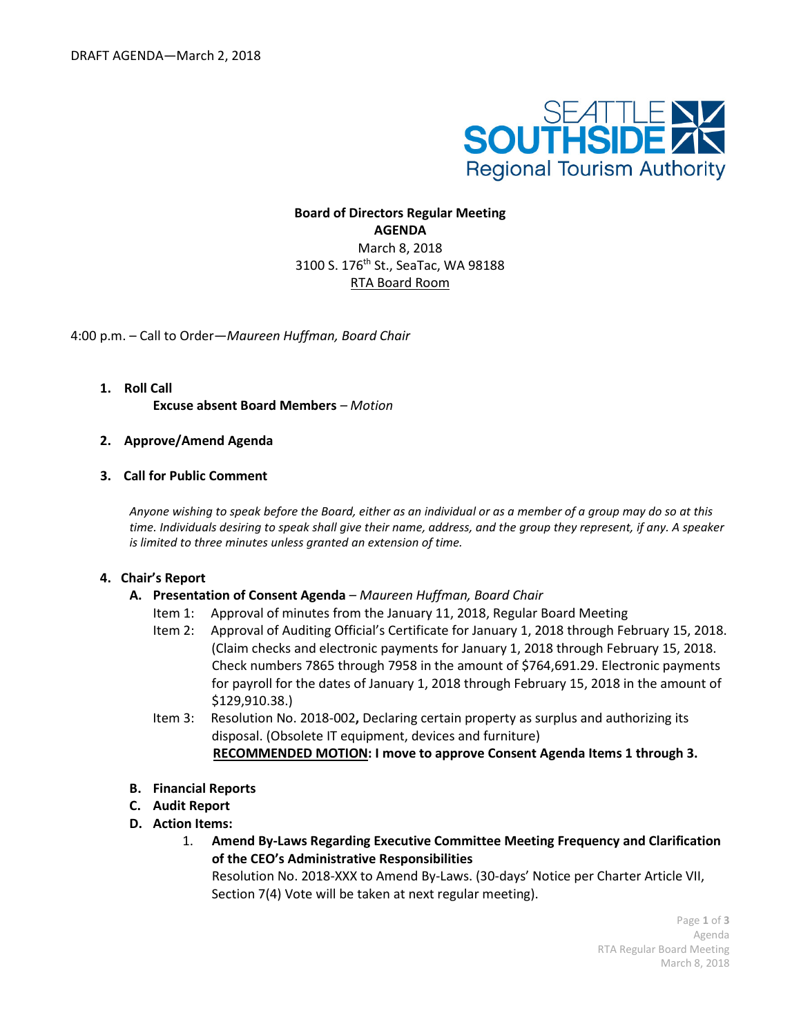

**Board of Directors Regular Meeting AGENDA** March 8, 2018 3100 S. 176th St., SeaTac, WA 98188 RTA Board Room

4:00 p.m. – Call to Order—*Maureen Huffman, Board Chair*

- **1. Roll Call Excuse absent Board Members** *– Motion*
- **2. Approve/Amend Agenda**
- **3. Call for Public Comment**

*Anyone wishing to speak before the Board, either as an individual or as a member of a group may do so at this time. Individuals desiring to speak shall give their name, address, and the group they represent, if any. A speaker is limited to three minutes unless granted an extension of time.*

#### **4. Chair's Report**

- **A. Presentation of Consent Agenda** *– Maureen Huffman, Board Chair*
	- Item 1: Approval of minutes from the January 11, 2018, Regular Board Meeting
	- Item 2: Approval of Auditing Official's Certificate for January 1, 2018 through February 15, 2018. (Claim checks and electronic payments for January 1, 2018 through February 15, 2018. Check numbers 7865 through 7958 in the amount of \$764,691.29. Electronic payments for payroll for the dates of January 1, 2018 through February 15, 2018 in the amount of \$129,910.38.)
	- Item 3:Resolution No. 2018-002**,** Declaring certain property as surplus and authorizing its disposal. (Obsolete IT equipment, devices and furniture)  **RECOMMENDED MOTION: I move to approve Consent Agenda Items 1 through 3.**
- **B. Financial Reports**
- **C. Audit Report**
- **D. Action Items:**
	- 1. **Amend By-Laws Regarding Executive Committee Meeting Frequency and Clarification of the CEO's Administrative Responsibilities**

Resolution No. 2018-XXX to Amend By-Laws. (30-days' Notice per Charter Article VII, Section 7(4) Vote will be taken at next regular meeting).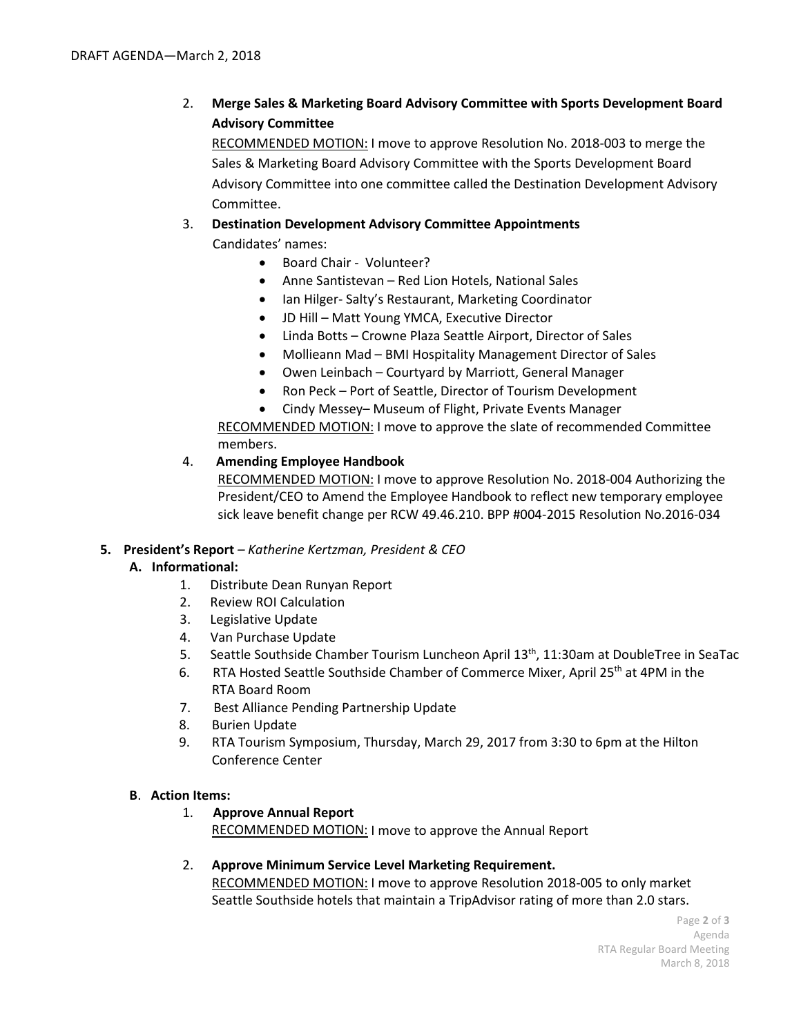2. **Merge Sales & Marketing Board Advisory Committee with Sports Development Board Advisory Committee** 

RECOMMENDED MOTION: I move to approve Resolution No. 2018-003 to merge the Sales & Marketing Board Advisory Committee with the Sports Development Board Advisory Committee into one committee called the Destination Development Advisory Committee.

## 3. **Destination Development Advisory Committee Appointments**

Candidates' names:

- Board Chair Volunteer?
- Anne Santistevan Red Lion Hotels, National Sales
- Ian Hilger- Salty's Restaurant, Marketing Coordinator
- JD Hill Matt Young YMCA, Executive Director
- Linda Botts Crowne Plaza Seattle Airport, Director of Sales
- Mollieann Mad BMI Hospitality Management Director of Sales
- Owen Leinbach Courtyard by Marriott, General Manager
- Ron Peck Port of Seattle, Director of Tourism Development
- Cindy Messey– Museum of Flight, Private Events Manager

RECOMMENDED MOTION: I move to approve the slate of recommended Committee members.

## 4. **Amending Employee Handbook**

RECOMMENDED MOTION: I move to approve Resolution No. 2018-004 Authorizing the President/CEO to Amend the Employee Handbook to reflect new temporary employee sick leave benefit change per RCW 49.46.210. BPP #004-2015 Resolution No.2016-034

## **5. President's Report** *– Katherine Kertzman, President & CEO*

## **A. Informational:**

- 1. Distribute Dean Runyan Report
- 2. Review ROI Calculation
- 3. Legislative Update
- 4. Van Purchase Update
- 5. Seattle Southside Chamber Tourism Luncheon April 13<sup>th</sup>, 11:30am at DoubleTree in SeaTac
- 6. RTA Hosted Seattle Southside Chamber of Commerce Mixer, April 25th at 4PM in the RTA Board Room
- 7. Best Alliance Pending Partnership Update
- 8. Burien Update
- 9. RTA Tourism Symposium, Thursday, March 29, 2017 from 3:30 to 6pm at the Hilton Conference Center

## **B**. **Action Items:**

1. **Approve Annual Report** 

RECOMMENDED MOTION: I move to approve the Annual Report

# 2. **Approve Minimum Service Level Marketing Requirement.** RECOMMENDED MOTION: I move to approve Resolution 2018-005 to only market

Seattle Southside hotels that maintain a TripAdvisor rating of more than 2.0 stars.